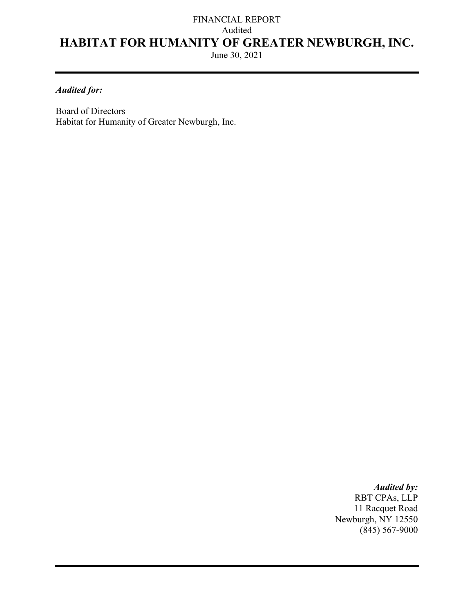# FINANCIAL REPORT Audited **HABITAT FOR HUMANITY OF GREATER NEWBURGH, INC.**

June 30, 2021

## *Audited for:*

Board of Directors Habitat for Humanity of Greater Newburgh, Inc.

> *Audited by:*  RBT CPAs, LLP 11 Racquet Road Newburgh, NY 12550  $(845)$  567-9000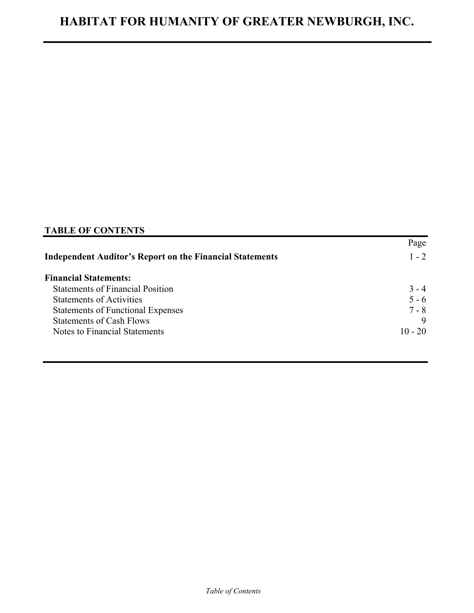## **TABLE OF CONTENTS**

|                                                                 | Page      |
|-----------------------------------------------------------------|-----------|
| <b>Independent Auditor's Report on the Financial Statements</b> | $1 - 2$   |
| <b>Financial Statements:</b>                                    |           |
| <b>Statements of Financial Position</b>                         | $3 - 4$   |
| <b>Statements of Activities</b>                                 | $5 - 6$   |
| <b>Statements of Functional Expenses</b>                        | $7 - 8$   |
| <b>Statements of Cash Flows</b>                                 |           |
| Notes to Financial Statements                                   | $10 - 20$ |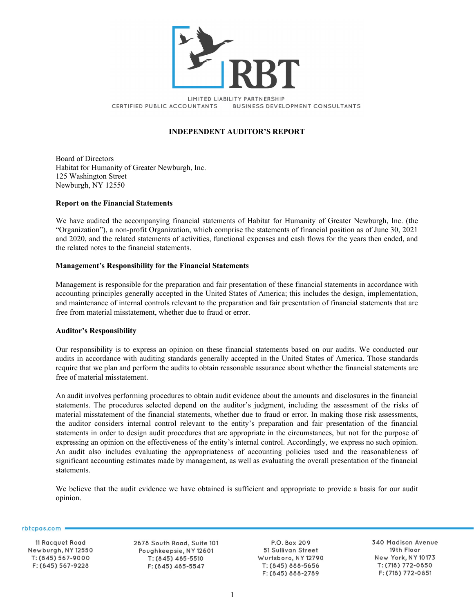

LIMITED LIABILITY PARTNERSHIP CERTIFIED PUBLIC ACCOUNTANTS **BUSINESS DEVELOPMENT CONSULTANTS** 

## **INDEPENDENT AUDITOR'S REPORT**

Board of Directors Habitat for Humanity of Greater Newburgh, Inc. 125 Washington Street Newburgh, NY 12550

#### **Report on the Financial Statements**

We have audited the accompanying financial statements of Habitat for Humanity of Greater Newburgh, Inc. (the "Organization"), a non-profit Organization, which comprise the statements of financial position as of June 30, 2021 and 2020, and the related statements of activities, functional expenses and cash flows for the years then ended, and the related notes to the financial statements.

#### **Management's Responsibility for the Financial Statements**

Management is responsible for the preparation and fair presentation of these financial statements in accordance with accounting principles generally accepted in the United States of America; this includes the design, implementation, and maintenance of internal controls relevant to the preparation and fair presentation of financial statements that are free from material misstatement, whether due to fraud or error.

#### **Auditor's Responsibility**

Our responsibility is to express an opinion on these financial statements based on our audits. We conducted our audits in accordance with auditing standards generally accepted in the United States of America. Those standards require that we plan and perform the audits to obtain reasonable assurance about whether the financial statements are free of material misstatement.

An audit involves performing procedures to obtain audit evidence about the amounts and disclosures in the financial statements. The procedures selected depend on the auditor's judgment, including the assessment of the risks of material misstatement of the financial statements, whether due to fraud or error. In making those risk assessments, the auditor considers internal control relevant to the entity's preparation and fair presentation of the financial statements in order to design audit procedures that are appropriate in the circumstances, but not for the purpose of expressing an opinion on the effectiveness of the entity's internal control. Accordingly, we express no such opinion. An audit also includes evaluating the appropriateness of accounting policies used and the reasonableness of significant accounting estimates made by management, as well as evaluating the overall presentation of the financial statements.

We believe that the audit evidence we have obtained is sufficient and appropriate to provide a basis for our audit opinion.

rbtcpas.com

11 Racquet Road Newburgh, NY 12550 T: (845) 567-9000 F: (845) 567-9228

2678 South Road, Suite 101 Poughkeepsie, NY 12601 T: (845) 485-5510 F: (845) 485-5547

P.O. Box 209 51 Sullivan Street Wurtsboro, NY 12790 T: (845) 888-5656 F: (845) 888-2789

340 Madison Avenue 19th Floor New York, NY 10173 T: (718) 772-0850 F: (718) 772-0851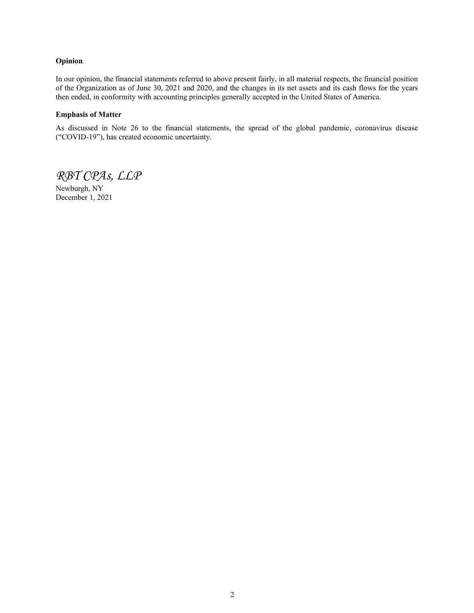#### **Opinion**

In our opinion, the financial statements referred to above present fairly, in all material respects, the financial position of the Organization as of June 30, 2021 and 2020, and the changes in its net assets and its cash flows for the years then ended, in conformity with accounting principles generally accepted in the United States of America.

#### **Emphasis of Matter**

As discussed in Note 26 to the financial statements, the spread of the global pandemic, coronavirus disease ("COVID-19"), has created economic uncertainty.

*RBT CPAs, LLP*

Newburgh, NY December 1, 2021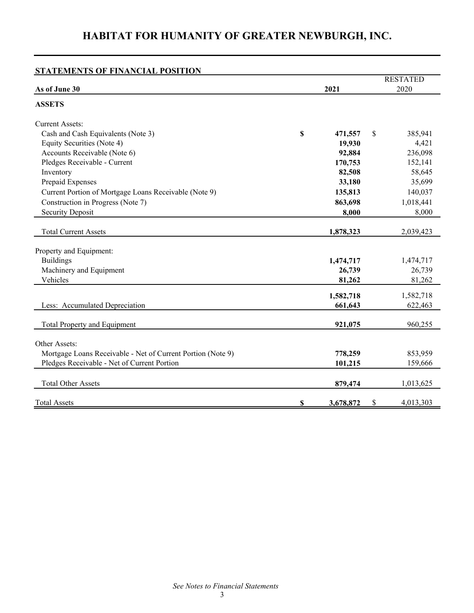| <b>STATEMENTS OF FINANCIAL POSITION</b>                     |    |           |    |                 |
|-------------------------------------------------------------|----|-----------|----|-----------------|
|                                                             |    |           |    | <b>RESTATED</b> |
| As of June 30                                               |    | 2021      |    | 2020            |
| <b>ASSETS</b>                                               |    |           |    |                 |
| <b>Current Assets:</b>                                      |    |           |    |                 |
| Cash and Cash Equivalents (Note 3)                          | \$ | 471,557   | \$ | 385,941         |
| Equity Securities (Note 4)                                  |    | 19,930    |    | 4,421           |
| Accounts Receivable (Note 6)                                |    | 92,884    |    | 236,098         |
| Pledges Receivable - Current                                |    | 170,753   |    | 152,141         |
| Inventory                                                   |    | 82,508    |    | 58,645          |
| Prepaid Expenses                                            |    | 33,180    |    | 35,699          |
| Current Portion of Mortgage Loans Receivable (Note 9)       |    | 135,813   |    | 140,037         |
| Construction in Progress (Note 7)                           |    | 863,698   |    | 1,018,441       |
| <b>Security Deposit</b>                                     |    | 8,000     |    | 8,000           |
|                                                             |    |           |    |                 |
| <b>Total Current Assets</b>                                 |    | 1,878,323 |    | 2,039,423       |
| Property and Equipment:                                     |    |           |    |                 |
| <b>Buildings</b>                                            |    | 1,474,717 |    | 1,474,717       |
| Machinery and Equipment                                     |    | 26,739    |    | 26,739          |
| Vehicles                                                    |    | 81,262    |    | 81,262          |
|                                                             |    | 1,582,718 |    | 1,582,718       |
| Less: Accumulated Depreciation                              |    | 661,643   |    | 622,463         |
|                                                             |    |           |    |                 |
| Total Property and Equipment                                |    | 921,075   |    | 960,255         |
| Other Assets:                                               |    |           |    |                 |
| Mortgage Loans Receivable - Net of Current Portion (Note 9) |    | 778,259   |    | 853,959         |
| Pledges Receivable - Net of Current Portion                 |    | 101,215   |    | 159,666         |
|                                                             |    |           |    |                 |
| <b>Total Other Assets</b>                                   |    | 879,474   |    | 1,013,625       |
| <b>Total Assets</b>                                         | S  | 3,678,872 | S  | 4,013,303       |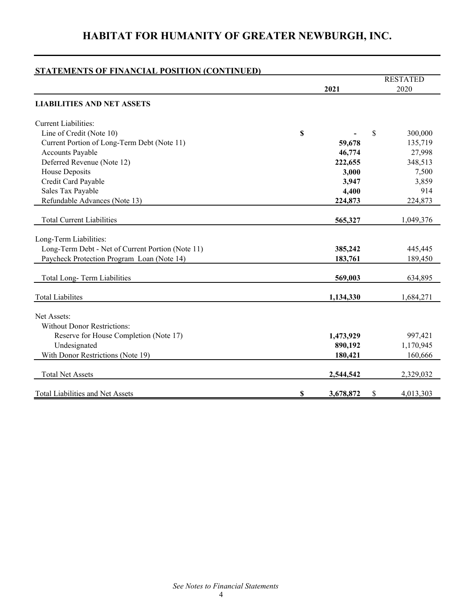## RESTATED **2021** 2020 **LIABILITIES AND NET ASSETS** Current Liabilities: Line of Credit (Note 10) **\$ -** \$ 300,000 Current Portion of Long-Term Debt (Note 11) **59,678** 135,719 Accounts Payable **46,774** 27,998 Deferred Revenue (Note 12) **222,655** 348,513 House Deposits **3,000** 7,500 Credit Card Payable **3,947** 3,859 Sales Tax Payable **4,400** 914 Refundable Advances (Note 13) **224,873** 224,873 Total Current Liabilities **565,327** 1,049,376 Long-Term Liabilities: Long-Term Debt - Net of Current Portion (Note 11) **385,242** 445,445 Paycheck Protection Program Loan (Note 14) **183,761** 189,450 Total Long- Term Liabilities **569,003** 634,895 Total Liabilites **1,134,330** 1,684,271 Net Assets: Without Donor Restrictions: Reserve for House Completion (Note 17) **1,473,929** 997,421 Undesignated **890,192** 1,170,945 With Donor Restrictions (Note 19) **180,421** 160,666 Total Net Assets **2,544,542** 2,329,032 Total Liabilities and Net Assets **\$ 3,678,872** \$ 4,013,303 **STATEMENTS OF FINANCIAL POSITION (CONTINUED)**

## **HABITAT FOR HUMANITY OF GREATER NEWBURGH, INC.**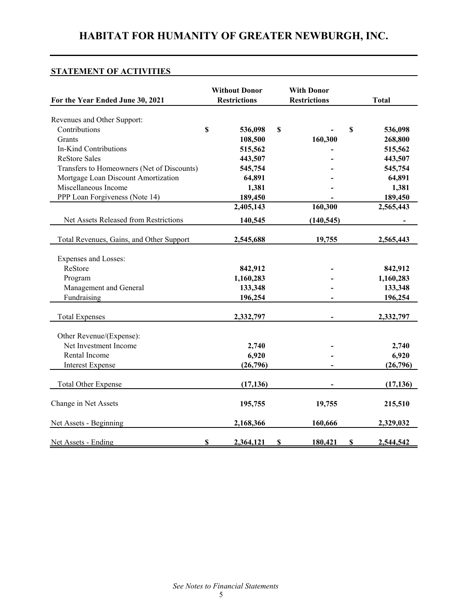## **STATEMENT OF ACTIVITIES**

| For the Year Ended June 30, 2021           |             | <b>Without Donor</b><br><b>Restrictions</b> |    | <b>With Donor</b><br><b>Restrictions</b> | <b>Total</b> |
|--------------------------------------------|-------------|---------------------------------------------|----|------------------------------------------|--------------|
| Revenues and Other Support:                |             |                                             |    |                                          |              |
| Contributions                              | $\mathbf S$ | 536,098                                     | \$ | \$                                       | 536,098      |
| Grants                                     |             | 108,500                                     |    | 160,300                                  | 268,800      |
| In-Kind Contributions                      |             | 515,562                                     |    |                                          | 515,562      |
| <b>ReStore Sales</b>                       |             | 443,507                                     |    |                                          | 443,507      |
| Transfers to Homeowners (Net of Discounts) |             | 545,754                                     |    |                                          | 545,754      |
| Mortgage Loan Discount Amortization        |             | 64,891                                      |    |                                          | 64,891       |
| Miscellaneous Income                       |             | 1,381                                       |    |                                          | 1,381        |
| PPP Loan Forgiveness (Note 14)             |             | 189,450                                     |    |                                          | 189,450      |
|                                            |             | 2,405,143                                   |    | 160,300                                  | 2,565,443    |
| Net Assets Released from Restrictions      |             | 140,545                                     |    | (140, 545)                               |              |
| Total Revenues, Gains, and Other Support   |             | 2,545,688                                   |    | 19,755                                   | 2,565,443    |
| Expenses and Losses:                       |             |                                             |    |                                          |              |
| ReStore                                    |             | 842,912                                     |    |                                          | 842,912      |
| Program                                    |             | 1,160,283                                   |    |                                          | 1,160,283    |
| Management and General                     |             | 133,348                                     |    |                                          | 133,348      |
| Fundraising                                |             | 196,254                                     |    |                                          | 196,254      |
| <b>Total Expenses</b>                      |             | 2,332,797                                   |    |                                          | 2,332,797    |
| Other Revenue/(Expense):                   |             |                                             |    |                                          |              |
| Net Investment Income                      |             | 2,740                                       |    |                                          | 2,740        |
| Rental Income                              |             | 6,920                                       |    |                                          | 6,920        |
| <b>Interest Expense</b>                    |             | (26,796)                                    |    |                                          | (26,796)     |
| <b>Total Other Expense</b>                 |             | (17, 136)                                   |    |                                          | (17, 136)    |
| Change in Net Assets                       |             | 195,755                                     |    | 19,755                                   | 215,510      |
| Net Assets - Beginning                     |             | 2,168,366                                   |    | 160,666                                  | 2,329,032    |
| Net Assets - Ending                        | S           | 2,364,121                                   | S  | 180,421<br>S                             | 2,544,542    |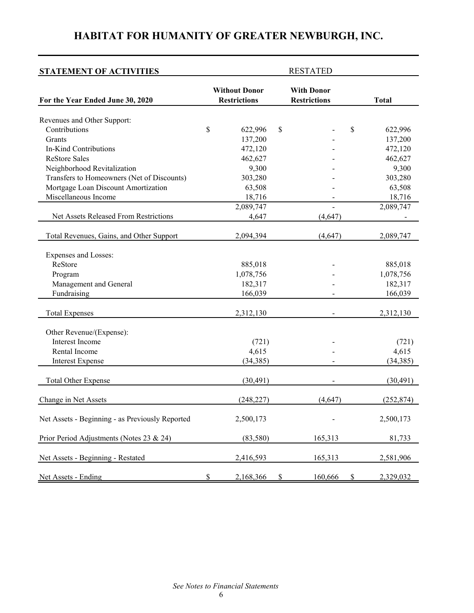| <b>STATEMENT OF ACTIVITIES</b>                  |                                             | <b>RESTATED</b>                          |              |
|-------------------------------------------------|---------------------------------------------|------------------------------------------|--------------|
| For the Year Ended June 30, 2020                | <b>Without Donor</b><br><b>Restrictions</b> | <b>With Donor</b><br><b>Restrictions</b> | <b>Total</b> |
| Revenues and Other Support:                     |                                             |                                          |              |
| Contributions                                   | \$<br>622,996                               | \$<br>\$                                 | 622,996      |
| Grants                                          | 137,200                                     |                                          | 137,200      |
| In-Kind Contributions                           | 472,120                                     |                                          | 472,120      |
| <b>ReStore Sales</b>                            | 462,627                                     |                                          | 462,627      |
| Neighborhood Revitalization                     | 9,300                                       |                                          | 9,300        |
| Transfers to Homeowners (Net of Discounts)      | 303,280                                     |                                          | 303,280      |
| Mortgage Loan Discount Amortization             | 63,508                                      |                                          | 63,508       |
| Miscellaneous Income                            | 18,716                                      |                                          | 18,716       |
|                                                 | 2,089,747                                   |                                          | 2,089,747    |
| Net Assets Released From Restrictions           | 4,647                                       | (4, 647)                                 |              |
| Total Revenues, Gains, and Other Support        | 2,094,394                                   | (4, 647)                                 | 2,089,747    |
| Expenses and Losses:                            |                                             |                                          |              |
| ReStore                                         | 885,018                                     |                                          | 885,018      |
| Program                                         | 1,078,756                                   |                                          | 1,078,756    |
| Management and General                          | 182,317                                     |                                          | 182,317      |
| Fundraising                                     | 166,039                                     |                                          | 166,039      |
| <b>Total Expenses</b>                           | 2,312,130                                   |                                          | 2,312,130    |
| Other Revenue/(Expense):                        |                                             |                                          |              |
| Interest Income                                 | (721)                                       |                                          | (721)        |
| Rental Income                                   | 4,615                                       |                                          | 4,615        |
| <b>Interest Expense</b>                         | (34, 385)                                   |                                          | (34, 385)    |
| <b>Total Other Expense</b>                      | (30, 491)                                   |                                          | (30, 491)    |
| Change in Net Assets                            | (248, 227)                                  | (4,647)                                  | (252, 874)   |
| Net Assets - Beginning - as Previously Reported | 2,500,173                                   |                                          | 2,500,173    |
| Prior Period Adjustments (Notes 23 & 24)        | (83, 580)                                   | 165,313                                  | 81,733       |
| Net Assets - Beginning - Restated               | 2,416,593                                   | 165,313                                  | 2,581,906    |
| Net Assets - Ending                             | \$<br>2,168,366                             | \$<br>160,666<br>\$                      | 2,329,032    |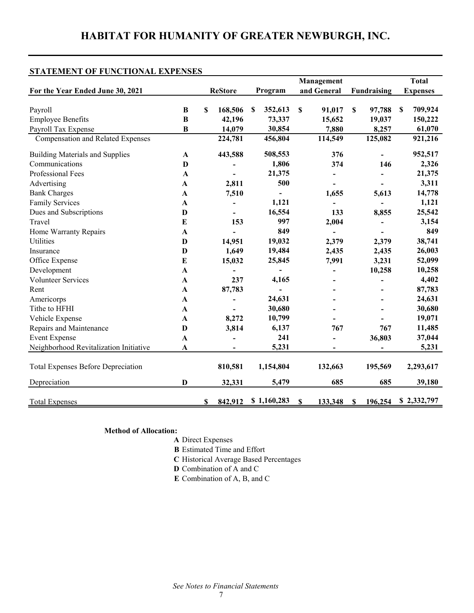## **STATEMENT OF FUNCTIONAL EXPENSES**

|                                           |              |                | Management |             |             |             | <b>Total</b> |             |                           |                 |
|-------------------------------------------|--------------|----------------|------------|-------------|-------------|-------------|--------------|-------------|---------------------------|-----------------|
| For the Year Ended June 30, 2021          |              | <b>ReStore</b> |            | Program     |             | and General |              | Fundraising |                           | <b>Expenses</b> |
|                                           |              |                |            |             |             |             |              |             |                           |                 |
| Payroll                                   | $\bf{B}$     | \$<br>168,506  | \$         | 352,613     | $\mathbf S$ | 91,017      | S            | 97,788      | $\boldsymbol{\mathsf{S}}$ | 709,924         |
| <b>Employee Benefits</b>                  | $\bf{B}$     | 42,196         |            | 73,337      |             | 15,652      |              | 19,037      |                           | 150,222         |
| Payroll Tax Expense                       | $\bf{B}$     | 14,079         |            | 30,854      |             | 7,880       |              | 8,257       |                           | 61,070          |
| Compensation and Related Expenses         |              | 224,781        |            | 456,804     |             | 114,549     |              | 125,082     |                           | 921,216         |
| <b>Building Materials and Supplies</b>    | $\mathbf{A}$ | 443,588        |            | 508,553     |             | 376         |              |             |                           | 952,517         |
| Communications                            | $\mathbf D$  |                |            | 1,806       |             | 374         |              | 146         |                           | 2,326           |
| Professional Fees                         | $\mathbf{A}$ |                |            | 21,375      |             |             |              |             |                           | 21,375          |
| Advertising                               | $\mathbf{A}$ | 2,811          |            | 500         |             |             |              |             |                           | 3,311           |
| <b>Bank Charges</b>                       | A            | 7,510          |            |             |             | 1,655       |              | 5,613       |                           | 14,778          |
| <b>Family Services</b>                    | A            |                |            | 1,121       |             |             |              |             |                           | 1,121           |
| Dues and Subscriptions                    | $\mathbf{D}$ |                |            | 16,554      |             | 133         |              | 8,855       |                           | 25,542          |
| Travel                                    | E            | 153            |            | 997         |             | 2,004       |              |             |                           | 3,154           |
| Home Warranty Repairs                     | $\mathbf{A}$ |                |            | 849         |             |             |              |             |                           | 849             |
| Utilities                                 | D            | 14,951         |            | 19,032      |             | 2,379       |              | 2,379       |                           | 38,741          |
| Insurance                                 | D            | 1,649          |            | 19,484      |             | 2,435       |              | 2,435       |                           | 26,003          |
| Office Expense                            | $\bf{E}$     | 15,032         |            | 25,845      |             | 7,991       |              | 3,231       |                           | 52,099          |
| Development                               | $\mathbf{A}$ |                |            |             |             |             |              | 10,258      |                           | 10,258          |
| <b>Volunteer Services</b>                 | $\mathbf A$  | 237            |            | 4,165       |             |             |              |             |                           | 4,402           |
| Rent                                      | $\mathbf{A}$ | 87,783         |            |             |             |             |              |             |                           | 87,783          |
| Americorps                                | $\mathbf{A}$ |                |            | 24,631      |             |             |              |             |                           | 24,631          |
| Tithe to HFHI                             | $\mathbf A$  |                |            | 30,680      |             |             |              |             |                           | 30,680          |
| Vehicle Expense                           | $\mathbf{A}$ | 8,272          |            | 10,799      |             |             |              |             |                           | 19,071          |
| Repairs and Maintenance                   | D            | 3,814          |            | 6,137       |             | 767         |              | 767         |                           | 11,485          |
| <b>Event Expense</b>                      | $\mathbf A$  |                |            | 241         |             |             |              | 36,803      |                           | 37,044          |
| Neighborhood Revitalization Initiative    | $\mathbf A$  |                |            | 5,231       |             |             |              |             |                           | 5,231           |
| <b>Total Expenses Before Depreciation</b> |              | 810,581        |            | 1,154,804   |             | 132,663     |              | 195,569     |                           | 2,293,617       |
| Depreciation                              | D            | 32,331         |            | 5,479       |             | 685         |              | 685         |                           | 39,180          |
| <b>Total Expenses</b>                     |              | 842,912        |            | \$1,160,283 |             | 133,348     |              | 196,254     |                           | \$2,332,797     |

**Method of Allocation:** 

- **A** Direct Expenses
- **B** Estimated Time and Effort
- **C** Historical Average Based Percentages
- **D** Combination of A and C
- **E** Combination of A, B, and C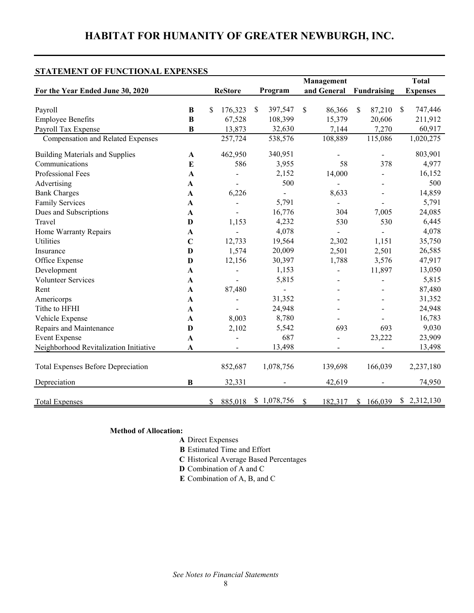## **STATEMENT OF FUNCTIONAL EXPENSES**

| Program<br>176,323<br>397,547<br>S | and General                                                                                                                                                                                           | Fundraising                                      | <b>Expenses</b>                                                   |
|------------------------------------|-------------------------------------------------------------------------------------------------------------------------------------------------------------------------------------------------------|--------------------------------------------------|-------------------------------------------------------------------|
|                                    |                                                                                                                                                                                                       |                                                  |                                                                   |
|                                    |                                                                                                                                                                                                       |                                                  |                                                                   |
|                                    | \$<br>86,366                                                                                                                                                                                          | \$<br>87,210                                     | 747,446<br>\$                                                     |
|                                    |                                                                                                                                                                                                       |                                                  | 211,912                                                           |
|                                    |                                                                                                                                                                                                       |                                                  | 60,917                                                            |
|                                    |                                                                                                                                                                                                       |                                                  | 1,020,275                                                         |
| 340,951                            |                                                                                                                                                                                                       |                                                  | 803,901                                                           |
| 3,955                              | 58                                                                                                                                                                                                    | 378                                              | 4,977                                                             |
| 2,152                              | 14,000                                                                                                                                                                                                |                                                  | 16,152                                                            |
| 500                                |                                                                                                                                                                                                       |                                                  | 500                                                               |
|                                    | 8,633                                                                                                                                                                                                 |                                                  | 14,859                                                            |
| 5,791                              | $\overline{a}$                                                                                                                                                                                        |                                                  | 5,791                                                             |
| 16,776                             | 304                                                                                                                                                                                                   | 7,005                                            | 24,085                                                            |
| 4,232                              | 530                                                                                                                                                                                                   | 530                                              | 6,445                                                             |
| 4,078                              |                                                                                                                                                                                                       |                                                  | 4,078                                                             |
| 19,564                             | 2,302                                                                                                                                                                                                 | 1,151                                            | 35,750                                                            |
| 20,009                             | 2,501                                                                                                                                                                                                 | 2,501                                            | 26,585                                                            |
| 30,397                             | 1,788                                                                                                                                                                                                 | 3,576                                            | 47,917                                                            |
| 1,153                              |                                                                                                                                                                                                       | 11,897                                           | 13,050                                                            |
| 5,815                              |                                                                                                                                                                                                       |                                                  | 5,815                                                             |
| $\blacksquare$                     |                                                                                                                                                                                                       |                                                  | 87,480                                                            |
| 31,352                             |                                                                                                                                                                                                       |                                                  | 31,352                                                            |
| 24,948                             |                                                                                                                                                                                                       |                                                  | 24,948                                                            |
| 8,780                              |                                                                                                                                                                                                       |                                                  | 16,783                                                            |
| 5,542                              | 693                                                                                                                                                                                                   | 693                                              | 9,030                                                             |
| 687                                |                                                                                                                                                                                                       | 23,222                                           | 23,909                                                            |
| 13,498                             |                                                                                                                                                                                                       |                                                  | 13,498                                                            |
|                                    |                                                                                                                                                                                                       |                                                  |                                                                   |
|                                    |                                                                                                                                                                                                       |                                                  | 2,237,180                                                         |
|                                    | 42,619                                                                                                                                                                                                |                                                  | 74,950                                                            |
| \$1,078,756                        | \$                                                                                                                                                                                                    |                                                  | \$2,312,130                                                       |
|                                    | 67,528<br>108,399<br>13,873<br>32,630<br>257,724<br>538,576<br>462,950<br>586<br>6,226<br>1,153<br>12,733<br>1,574<br>12,156<br>87,480<br>8,003<br>2,102<br>852,687<br>1,078,756<br>32,331<br>885,018 | 15,379<br>7,144<br>108,889<br>139,698<br>182,317 | 20,606<br>7,270<br>115,086<br>166,039<br>166,039<br><sup>\$</sup> |

## **Method of Allocation:**

- **A** Direct Expenses
- **B** Estimated Time and Effort
- **C** Historical Average Based Percentages
- **D** Combination of A and C
- **E** Combination of A, B, and C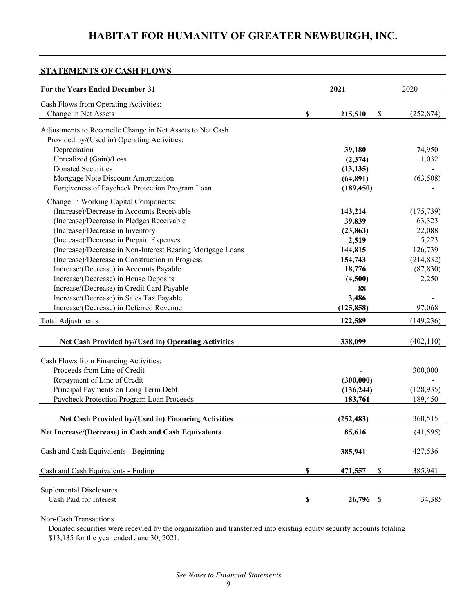## **STATEMENTS OF CASH FLOWS**

| For the Years Ended December 31                                                                          |                           | 2021                    | 2020                    |
|----------------------------------------------------------------------------------------------------------|---------------------------|-------------------------|-------------------------|
| Cash Flows from Operating Activities:<br>Change in Net Assets                                            | \$                        | 215,510<br>\$           | (252, 874)              |
| Adjustments to Reconcile Change in Net Assets to Net Cash<br>Provided by/(Used in) Operating Activities: |                           |                         |                         |
| Depreciation                                                                                             |                           | 39,180                  | 74,950                  |
| Unrealized (Gain)/Loss<br><b>Donated Securities</b>                                                      |                           | (2,374)<br>(13, 135)    | 1,032                   |
| Mortgage Note Discount Amortization                                                                      |                           | (64,891)                | (63,508)                |
| Forgiveness of Paycheck Protection Program Loan                                                          |                           | (189, 450)              |                         |
| Change in Working Capital Components:<br>(Increase)/Decrease in Accounts Receivable                      |                           | 143,214                 | (175, 739)              |
| (Increase)/Decrease in Pledges Receivable                                                                |                           | 39,839                  | 63,323                  |
| (Increase)/Decrease in Inventory<br>(Increase)/Decrease in Prepaid Expenses                              |                           | (23, 863)<br>2,519      | 22,088<br>5,223         |
| (Increase)/Decrease in Non-Interest Bearing Mortgage Loans                                               |                           | 144,815                 | 126,739                 |
| (Increase)/Decrease in Construction in Progress<br>Increase/(Decrease) in Accounts Payable               |                           | 154,743<br>18,776       | (214, 832)<br>(87, 830) |
| Increase/(Decrease) in House Deposits                                                                    |                           | (4,500)                 | 2,250                   |
| Increase/(Decrease) in Credit Card Payable<br>Increase/(Decrease) in Sales Tax Payable                   |                           | 88<br>3,486             |                         |
| Increase/(Decrease) in Deferred Revenue                                                                  |                           | (125, 858)              | 97,068                  |
| <b>Total Adjustments</b>                                                                                 |                           | 122,589                 | (149, 236)              |
| <b>Net Cash Provided by/(Used in) Operating Activities</b>                                               |                           | 338,099                 | (402, 110)              |
| Cash Flows from Financing Activities:                                                                    |                           |                         |                         |
| Proceeds from Line of Credit                                                                             |                           |                         | 300,000                 |
| Repayment of Line of Credit<br>Principal Payments on Long Term Debt                                      |                           | (300,000)<br>(136, 244) | (128, 935)              |
| Paycheck Protection Program Loan Proceeds                                                                |                           | 183,761                 | 189,450                 |
| <b>Net Cash Provided by/(Used in) Financing Activities</b>                                               |                           | (252, 483)              | 360,515                 |
| Net Increase/(Decrease) in Cash and Cash Equivalents                                                     |                           | 85,616                  | (41, 595)               |
| Cash and Cash Equivalents - Beginning                                                                    |                           | 385,941                 | 427,536                 |
| Cash and Cash Equivalents - Ending                                                                       | $\boldsymbol{\mathsf{S}}$ | 471,557<br>\$           | 385,941                 |
| <b>Suplemental Disclosures</b>                                                                           |                           |                         |                         |
| Cash Paid for Interest                                                                                   | \$                        | 26,796<br>\$            | 34,385                  |

Non-Cash Transactions

 Donated securities were recevied by the organization and transferred into existing equity security accounts totaling \$13,135 for the year ended June 30, 2021.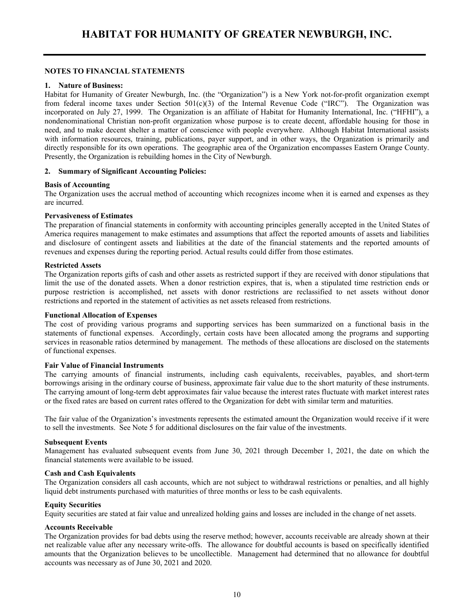## **NOTES TO FINANCIAL STATEMENTS**

### **1. Nature of Business:**

Habitat for Humanity of Greater Newburgh, Inc. (the "Organization") is a New York not-for-profit organization exempt from federal income taxes under Section  $501(c)(3)$  of the Internal Revenue Code ("IRC"). The Organization was incorporated on July 27, 1999. The Organization is an affiliate of Habitat for Humanity International, Inc. ("HFHI"), a nondenominational Christian non-profit organization whose purpose is to create decent, affordable housing for those in need, and to make decent shelter a matter of conscience with people everywhere. Although Habitat International assists with information resources, training, publications, payer support, and in other ways, the Organization is primarily and directly responsible for its own operations. The geographic area of the Organization encompasses Eastern Orange County. Presently, the Organization is rebuilding homes in the City of Newburgh.

## **2. Summary of Significant Accounting Policies:**

## **Basis of Accounting**

The Organization uses the accrual method of accounting which recognizes income when it is earned and expenses as they are incurred.

#### **Pervasiveness of Estimates**

The preparation of financial statements in conformity with accounting principles generally accepted in the United States of America requires management to make estimates and assumptions that affect the reported amounts of assets and liabilities and disclosure of contingent assets and liabilities at the date of the financial statements and the reported amounts of revenues and expenses during the reporting period. Actual results could differ from those estimates.

#### **Restricted Assets**

The Organization reports gifts of cash and other assets as restricted support if they are received with donor stipulations that limit the use of the donated assets. When a donor restriction expires, that is, when a stipulated time restriction ends or purpose restriction is accomplished, net assets with donor restrictions are reclassified to net assets without donor restrictions and reported in the statement of activities as net assets released from restrictions.

#### **Functional Allocation of Expenses**

The cost of providing various programs and supporting services has been summarized on a functional basis in the statements of functional expenses. Accordingly, certain costs have been allocated among the programs and supporting services in reasonable ratios determined by management. The methods of these allocations are disclosed on the statements of functional expenses.

#### **Fair Value of Financial Instruments**

The carrying amounts of financial instruments, including cash equivalents, receivables, payables, and short-term borrowings arising in the ordinary course of business, approximate fair value due to the short maturity of these instruments. The carrying amount of long-term debt approximates fair value because the interest rates fluctuate with market interest rates or the fixed rates are based on current rates offered to the Organization for debt with similar term and maturities.

The fair value of the Organization's investments represents the estimated amount the Organization would receive if it were to sell the investments. See Note 5 for additional disclosures on the fair value of the investments.

#### **Subsequent Events**

Management has evaluated subsequent events from June 30, 2021 through December 1, 2021, the date on which the financial statements were available to be issued.

#### **Cash and Cash Equivalents**

The Organization considers all cash accounts, which are not subject to withdrawal restrictions or penalties, and all highly liquid debt instruments purchased with maturities of three months or less to be cash equivalents.

### **Equity Securities**

Equity securities are stated at fair value and unrealized holding gains and losses are included in the change of net assets.

#### **Accounts Receivable**

The Organization provides for bad debts using the reserve method; however, accounts receivable are already shown at their net realizable value after any necessary write-offs. The allowance for doubtful accounts is based on specifically identified amounts that the Organization believes to be uncollectible. Management had determined that no allowance for doubtful accounts was necessary as of June 30, 2021 and 2020.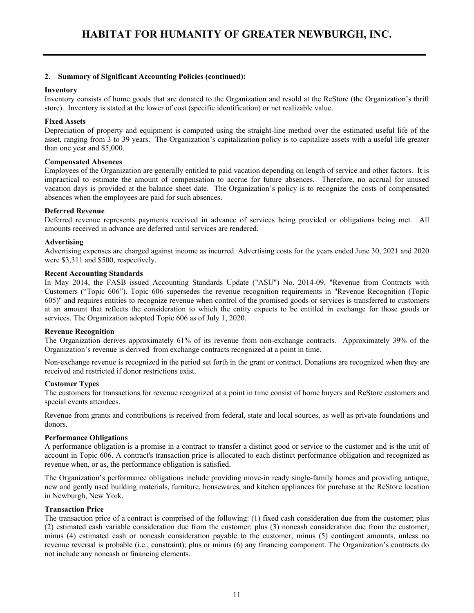#### **2. Summary of Significant Accounting Policies (continued):**

#### **Inventory**

Inventory consists of home goods that are donated to the Organization and resold at the ReStore (the Organization's thrift store). Inventory is stated at the lower of cost (specific identification) or net realizable value.

#### **Fixed Assets**

Depreciation of property and equipment is computed using the straight-line method over the estimated useful life of the asset, ranging from 3 to 39 years. The Organization's capitalization policy is to capitalize assets with a useful life greater than one year and \$5,000.

#### **Compensated Absences**

Employees of the Organization are generally entitled to paid vacation depending on length of service and other factors. It is impractical to estimate the amount of compensation to accrue for future absences. Therefore, no accrual for unused vacation days is provided at the balance sheet date. The Organization's policy is to recognize the costs of compensated absences when the employees are paid for such absences.

#### **Deferred Revenue**

Deferred revenue represents payments received in advance of services being provided or obligations being met. All amounts received in advance are deferred until services are rendered.

#### **Advertising**

Advertising expenses are charged against income as incurred. Advertising costs for the years ended June 30, 2021 and 2020 were \$3,311 and \$500, respectively.

#### **Recent Accounting Standards**

In May 2014, the FASB issued Accounting Standards Update ("ASU") No. 2014-09, "Revenue from Contracts with Customers ("Topic 606"). Topic 606 supersedes the revenue recognition requirements in "Revenue Recognition (Topic 605)" and requires entities to recognize revenue when control of the promised goods or services is transferred to customers at an amount that reflects the consideration to which the entity expects to be entitled in exchange for those goods or services. The Organization adopted Topic 606 as of July 1, 2020.

#### **Revenue Recognition**

The Organization derives approximately 61% of its revenue from non-exchange contracts. Approximately 39% of the Organization's revenue is derived from exchange contracts recognized at a point in time.

Non-exchange revenue is recognized in the period set forth in the grant or contract. Donations are recognized when they are received and restricted if donor restrictions exist.

#### **Customer Types**

The customers for transactions for revenue recognized at a point in time consist of home buyers and ReStore customers and special events attendees.

Revenue from grants and contributions is received from federal, state and local sources, as well as private foundations and donors.

#### **Performance Obligations**

A performance obligation is a promise in a contract to transfer a distinct good or service to the customer and is the unit of account in Topic 606. A contract's transaction price is allocated to each distinct performance obligation and recognized as revenue when, or as, the performance obligation is satisfied.

The Organization's performance obligations include providing move-in ready single-family homes and providing antique, new and gently used building materials, furniture, housewares, and kitchen appliances for purchase at the ReStore location in Newburgh, New York.

#### **Transaction Price**

The transaction price of a contract is comprised of the following: (1) fixed cash consideration due from the customer; plus (2) estimated cash variable consideration due from the customer; plus (3) noncash consideration due from the customer; minus (4) estimated cash or noncash consideration payable to the customer; minus (5) contingent amounts, unless no revenue reversal is probable (i.e., constraint); plus or minus (6) any financing component. The Organization's contracts do not include any noncash or financing elements.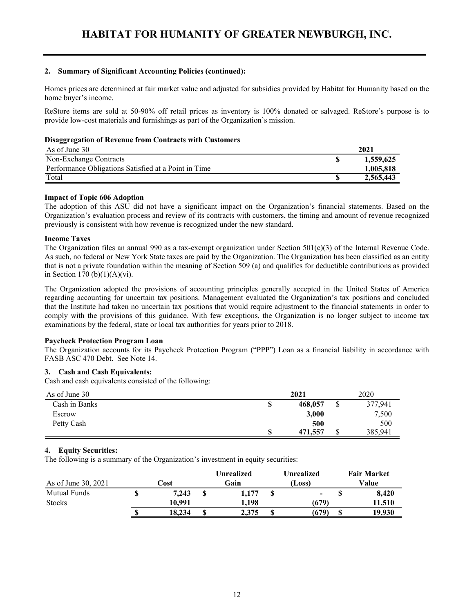### **2. Summary of Significant Accounting Policies (continued):**

Homes prices are determined at fair market value and adjusted for subsidies provided by Habitat for Humanity based on the home buyer's income.

ReStore items are sold at 50-90% off retail prices as inventory is 100% donated or salvaged. ReStore's purpose is to provide low-cost materials and furnishings as part of the Organization's mission.

## **Disaggregation of Revenue from Contracts with Customers**

| As of June 30                                        | 2021      |
|------------------------------------------------------|-----------|
| Non-Exchange Contracts                               | 1,559,625 |
| Performance Obligations Satisfied at a Point in Time | 1,005,818 |
| Total                                                | 2,565,443 |

## **Impact of Topic 606 Adoption**

The adoption of this ASU did not have a significant impact on the Organization's financial statements. Based on the Organization's evaluation process and review of its contracts with customers, the timing and amount of revenue recognized previously is consistent with how revenue is recognized under the new standard.

## **Income Taxes**

The Organization files an annual 990 as a tax-exempt organization under Section  $501(c)(3)$  of the Internal Revenue Code. As such, no federal or New York State taxes are paid by the Organization. The Organization has been classified as an entity that is not a private foundation within the meaning of Section 509 (a) and qualifies for deductible contributions as provided in Section 170 (b) $(1)(A)(vi)$ .

The Organization adopted the provisions of accounting principles generally accepted in the United States of America regarding accounting for uncertain tax positions. Management evaluated the Organization's tax positions and concluded that the Institute had taken no uncertain tax positions that would require adjustment to the financial statements in order to comply with the provisions of this guidance. With few exceptions, the Organization is no longer subject to income tax examinations by the federal, state or local tax authorities for years prior to 2018.

## **Paycheck Protection Program Loan**

The Organization accounts for its Paycheck Protection Program ("PPP") Loan as a financial liability in accordance with FASB ASC 470 Debt. See Note 14.

## **3. Cash and Cash Equivalents:**

Cash and cash equivalents consisted of the following:

| As of June 30 |    | 2021    |   | 2020    |
|---------------|----|---------|---|---------|
| Cash in Banks | \$ | 468,057 | J | 377,941 |
| Escrow        |    | 3,000   |   | 7,500   |
| Petty Cash    |    | 500     |   | 500     |
|               | ۰D | 471,557 | J | 385,941 |

## **4. Equity Securities:**

The following is a summary of the Organization's investment in equity securities:

|                     |        |   | <b>Unrealized</b> | Unrealized     | <b>Fair Market</b> |
|---------------------|--------|---|-------------------|----------------|--------------------|
| As of June 30, 2021 | Cost   |   | Gain              | (Loss)         | Value              |
| Mutual Funds        | 7.243  | S | 1,177             | $\blacksquare$ | 8.420              |
| <b>Stocks</b>       | 10.991 |   | 1.198             | (679)          | 11.510             |
|                     | 18.234 |   | 2.375             | (679)          | 9.930              |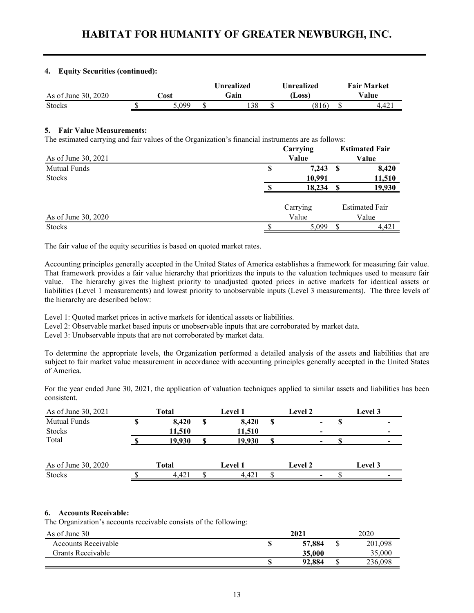## **4. Equity Securities (continued):**

|                     |      | Unrealized | Unrealized | <b>Fair Market</b> |
|---------------------|------|------------|------------|--------------------|
| As of June 30, 2020 | `ost | Gain       | (Loss)     | Value              |
| <b>Stocks</b>       | 099  | 138        | (816       | 4.42 <sub>1</sub>  |

### **5. Fair Value Measurements:**

The estimated carrying and fair values of the Organization's financial instruments are as follows:

|                     |   | Carrying | <b>Estimated Fair</b> |                       |
|---------------------|---|----------|-----------------------|-----------------------|
| As of June 30, 2021 |   | Value    | Value                 |                       |
| <b>Mutual Funds</b> | S | 7,243    | -S                    | 8,420                 |
| <b>Stocks</b>       |   | 10,991   |                       | 11,510                |
|                     |   | 18,234   |                       | 19,930                |
|                     |   | Carrying |                       | <b>Estimated Fair</b> |
| As of June 30, 2020 |   | Value    |                       | Value                 |
| <b>Stocks</b>       |   | 5,099    |                       | 4,421                 |

The fair value of the equity securities is based on quoted market rates.

Accounting principles generally accepted in the United States of America establishes a framework for measuring fair value. That framework provides a fair value hierarchy that prioritizes the inputs to the valuation techniques used to measure fair value. The hierarchy gives the highest priority to unadjusted quoted prices in active markets for identical assets or liabilities (Level 1 measurements) and lowest priority to unobservable inputs (Level 3 measurements). The three levels of the hierarchy are described below:

Level 1: Quoted market prices in active markets for identical assets or liabilities.

Level 2: Observable market based inputs or unobservable inputs that are corroborated by market data.

Level 3: Unobservable inputs that are not corroborated by market data.

To determine the appropriate levels, the Organization performed a detailed analysis of the assets and liabilities that are subject to fair market value measurement in accordance with accounting principles generally accepted in the United States of America.

For the year ended June 30, 2021, the application of valuation techniques applied to similar assets and liabilities has been consistent.

| As of June 30, 2021 | Total  | <b>Level 1</b> |   | Level 2                  | Level 3 |
|---------------------|--------|----------------|---|--------------------------|---------|
| <b>Mutual Funds</b> | 8,420  | 8,420          | S | $\overline{\phantom{a}}$ |         |
| <b>Stocks</b>       | 11,510 | 11,510         |   |                          |         |
| Total               | 19.930 | 19.930         |   | -                        |         |
|                     |        |                |   |                          |         |
| As of June 30, 2020 | Total  | <b>Level 1</b> |   | Level 2                  | Level 3 |
| <b>Stocks</b>       | 4.421  | 4.421          |   | $\overline{\phantom{0}}$ |         |

## **6. Accounts Receivable:**

The Organization's accounts receivable consists of the following:

| As of June 30       | 2021   |     | 2020    |
|---------------------|--------|-----|---------|
| Accounts Receivable | 57,884 |     | 201,098 |
| Grants Receivable   | 35,000 |     | 35,000  |
|                     | 92,884 | ۲IJ | 236,098 |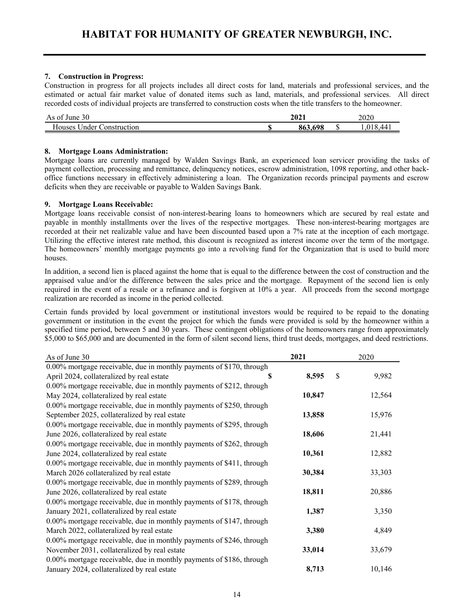## **7. Construction in Progress:**

 Construction in progress for all projects includes all direct costs for land, materials and professional services, and the estimated or actual fair market value of donated items such as land, materials, and professional services. All direct recorded costs of individual projects are transferred to construction costs when the title transfers to the homeowner.

| 30<br>-01<br>June<br>As                 | 2021 |                    |  | 2020                       |  |
|-----------------------------------------|------|--------------------|--|----------------------------|--|
| $ -$<br>Houses<br>Inder<br>Jonstruction |      | o co<br>698<br>80. |  | 44<br>$\cdot \cdot$<br>TO. |  |

## **8. Mortgage Loans Administration:**

Mortgage loans are currently managed by Walden Savings Bank, an experienced loan servicer providing the tasks of payment collection, processing and remittance, delinquency notices, escrow administration, 1098 reporting, and other backoffice functions necessary in effectively administering a loan. The Organization records principal payments and escrow deficits when they are receivable or payable to Walden Savings Bank.

## **9. Mortgage Loans Receivable:**

Mortgage loans receivable consist of non-interest-bearing loans to homeowners which are secured by real estate and payable in monthly installments over the lives of the respective mortgages. These non-interest-bearing mortgages are recorded at their net realizable value and have been discounted based upon a 7% rate at the inception of each mortgage. Utilizing the effective interest rate method, this discount is recognized as interest income over the term of the mortgage. The homeowners' monthly mortgage payments go into a revolving fund for the Organization that is used to build more houses.

In addition, a second lien is placed against the home that is equal to the difference between the cost of construction and the appraised value and/or the difference between the sales price and the mortgage. Repayment of the second lien is only required in the event of a resale or a refinance and is forgiven at 10% a year. All proceeds from the second mortgage realization are recorded as income in the period collected.

Certain funds provided by local government or institutional investors would be required to be repaid to the donating government or institution in the event the project for which the funds were provided is sold by the homeowner within a specified time period, between 5 and 30 years. These contingent obligations of the homeowners range from approximately \$5,000 to \$65,000 and are documented in the form of silent second liens, third trust deeds, mortgages, and deed restrictions.

| As of June 30                                                        | 2021   | 2020        |
|----------------------------------------------------------------------|--------|-------------|
| 0.00% mortgage receivable, due in monthly payments of \$170, through |        |             |
| April 2024, collateralized by real estate<br>S                       | 8,595  | \$<br>9,982 |
| 0.00% mortgage receivable, due in monthly payments of \$212, through |        |             |
| May 2024, collateralized by real estate                              | 10,847 | 12,564      |
| 0.00% mortgage receivable, due in monthly payments of \$250, through |        |             |
| September 2025, collateralized by real estate                        | 13,858 | 15,976      |
| 0.00% mortgage receivable, due in monthly payments of \$295, through |        |             |
| June 2026, collateralized by real estate                             | 18,606 | 21,441      |
| 0.00% mortgage receivable, due in monthly payments of \$262, through |        |             |
| June 2024, collateralized by real estate                             | 10,361 | 12,882      |
| 0.00% mortgage receivable, due in monthly payments of \$411, through |        |             |
| March 2026 collateralized by real estate                             | 30,384 | 33,303      |
| 0.00% mortgage receivable, due in monthly payments of \$289, through |        |             |
| June 2026, collateralized by real estate                             | 18,811 | 20,886      |
| 0.00% mortgage receivable, due in monthly payments of \$178, through |        |             |
| January 2021, collateralized by real estate                          | 1,387  | 3,350       |
| 0.00% mortgage receivable, due in monthly payments of \$147, through |        |             |
| March 2022, collateralized by real estate                            | 3,380  | 4,849       |
| 0.00% mortgage receivable, due in monthly payments of \$246, through |        |             |
| November 2031, collateralized by real estate                         | 33,014 | 33,679      |
| 0.00% mortgage receivable, due in monthly payments of \$186, through |        |             |
| January 2024, collateralized by real estate                          | 8,713  | 10,146      |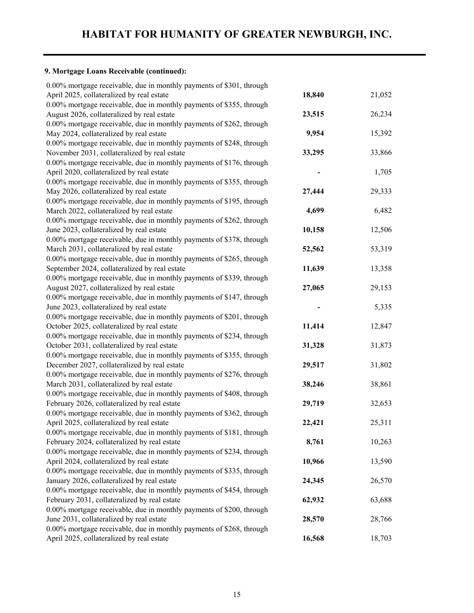## **9. Mortgage Loans Receivable (continued):**

| 0.00% mortgage receivable, due in monthly payments of \$301, through |        |        |
|----------------------------------------------------------------------|--------|--------|
| April 2025, collateralized by real estate                            | 18,840 | 21,052 |
| 0.00% mortgage receivable, due in monthly payments of \$355, through |        |        |
| August 2026, collateralized by real estate                           | 23,515 | 26,234 |
| 0.00% mortgage receivable, due in monthly payments of \$262, through |        |        |
| May 2024, collateralized by real estate                              | 9,954  | 15,392 |
| 0.00% mortgage receivable, due in monthly payments of \$248, through |        |        |
| November 2031, collateralized by real estate                         | 33,295 | 33,866 |
| 0.00% mortgage receivable, due in monthly payments of \$176, through |        |        |
| April 2020, collateralized by real estate                            |        | 1,705  |
| 0.00% mortgage receivable, due in monthly payments of \$355, through |        |        |
| May 2026, collateralized by real estate                              | 27,444 | 29,333 |
| 0.00% mortgage receivable, due in monthly payments of \$195, through |        |        |
| March 2022, collateralized by real estate                            | 4,699  | 6,482  |
| 0.00% mortgage receivable, due in monthly payments of \$262, through |        |        |
| June 2023, collateralized by real estate                             | 10,158 | 12,506 |
| 0.00% mortgage receivable, due in monthly payments of \$378, through |        |        |
| March 2031, collateralized by real estate                            | 52,562 | 53,319 |
| 0.00% mortgage receivable, due in monthly payments of \$265, through |        |        |
| September 2024, collateralized by real estate                        | 11,639 | 13,358 |
| 0.00% mortgage receivable, due in monthly payments of \$339, through |        |        |
| August 2027, collateralized by real estate                           | 27,065 | 29,153 |
| 0.00% mortgage receivable, due in monthly payments of \$147, through |        |        |
| June 2023, collateralized by real estate                             |        | 5,335  |
| 0.00% mortgage receivable, due in monthly payments of \$201, through |        |        |
| October 2025, collateralized by real estate                          | 11,414 | 12,847 |
| 0.00% mortgage receivable, due in monthly payments of \$234, through |        |        |
| October 2031, collateralized by real estate                          | 31,328 | 31,873 |
| 0.00% mortgage receivable, due in monthly payments of \$355, through |        |        |
| December 2027, collateralized by real estate                         | 29,517 | 31,802 |
| 0.00% mortgage receivable, due in monthly payments of \$276, through |        |        |
| March 2031, collateralized by real estate                            | 38,246 | 38,861 |
| 0.00% mortgage receivable, due in monthly payments of \$408, through |        |        |
| February 2026, collateralized by real estate                         | 29,719 | 32,653 |
| 0.00% mortgage receivable, due in monthly payments of \$362, through |        |        |
| April 2025, collateralized by real estate                            | 22,421 | 25,311 |
| 0.00% mortgage receivable, due in monthly payments of \$181, through |        |        |
| February 2024, collateralized by real estate                         | 8,761  | 10,263 |
| 0.00% mortgage receivable, due in monthly payments of \$234, through |        |        |
| April 2024, collateralized by real estate                            | 10,966 | 13,590 |
| 0.00% mortgage receivable, due in monthly payments of \$335, through |        |        |
| January 2026, collateralized by real estate                          | 24,345 | 26,570 |
| 0.00% mortgage receivable, due in monthly payments of \$454, through |        |        |
| February 2031, collateralized by real estate                         | 62,932 | 63,688 |
| 0.00% mortgage receivable, due in monthly payments of \$200, through |        |        |
| June 2031, collateralized by real estate                             | 28,570 | 28,766 |
| 0.00% mortgage receivable, due in monthly payments of \$268, through |        |        |
| April 2025, collateralized by real estate                            | 16,568 | 18,703 |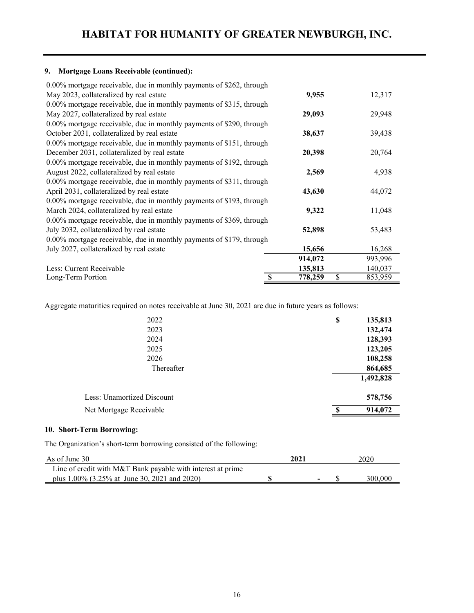## **9. Mortgage Loans Receivable (continued):**

| 0.00% mortgage receivable, due in monthly payments of \$262, through |                     |               |
|----------------------------------------------------------------------|---------------------|---------------|
| May 2023, collateralized by real estate                              | 9,955               | 12,317        |
| 0.00% mortgage receivable, due in monthly payments of \$315, through |                     |               |
| May 2027, collateralized by real estate                              | 29,093              | 29,948        |
| 0.00% mortgage receivable, due in monthly payments of \$290, through |                     |               |
| October 2031, collateralized by real estate                          | 38,637              | 39,438        |
| 0.00% mortgage receivable, due in monthly payments of \$151, through |                     |               |
| December 2031, collateralized by real estate                         | 20,398              | 20,764        |
| 0.00% mortgage receivable, due in monthly payments of \$192, through |                     |               |
| August 2022, collateralized by real estate                           | 2,569               | 4,938         |
| 0.00% mortgage receivable, due in monthly payments of \$311, through |                     |               |
| April 2031, collateralized by real estate                            | 43,630              | 44,072        |
| 0.00% mortgage receivable, due in monthly payments of \$193, through |                     |               |
| March 2024, collateralized by real estate                            | 9,322               | 11,048        |
| 0.00% mortgage receivable, due in monthly payments of \$369, through |                     |               |
| July 2032, collateralized by real estate                             | 52,898              | 53,483        |
| 0.00% mortgage receivable, due in monthly payments of \$179, through |                     |               |
| July 2027, collateralized by real estate                             | 15,656              | 16,268        |
|                                                                      | 914,072             | 993,996       |
| Less: Current Receivable                                             | 135,813             | 140,037       |
| Long-Term Portion                                                    | 778,259<br><b>S</b> | \$<br>853,959 |

Aggregate maturities required on notes receivable at June 30, 2021 are due in future years as follows:

| 2022                       | \$<br>135,813           |
|----------------------------|-------------------------|
| 2023                       | 132,474                 |
| 2024                       | 128,393                 |
| 2025                       | 123,205                 |
| 2026                       | 108,258                 |
| Thereafter                 | 864,685                 |
|                            | 1,492,828               |
| Less: Unamortized Discount | 578,756                 |
| Net Mortgage Receivable    | 914,072<br>$\mathbf{s}$ |

## **10. Short-Term Borrowing:**

The Organization's short-term borrowing consisted of the following:

| As of June 30                                               | 2021 | 2020    |
|-------------------------------------------------------------|------|---------|
| Line of credit with M&T Bank payable with interest at prime |      |         |
| plus $1.00\%$ (3.25% at June 30, 2021 and 2020)             |      | 300.000 |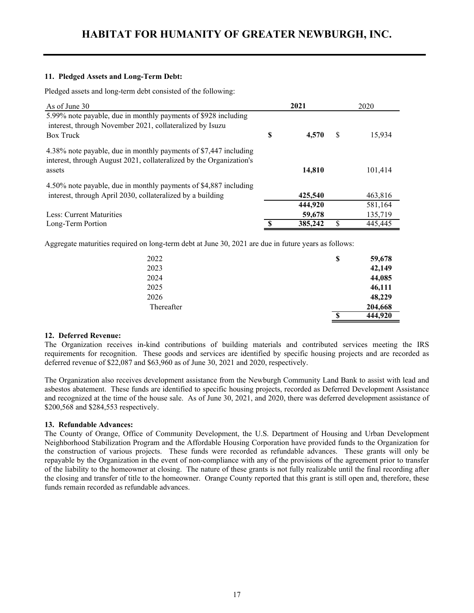## **11. Pledged Assets and Long-Term Debt:**

Pledged assets and long-term debt consisted of the following:

| As of June 30                                                                                                                                     |   | 2021    |   | 2020    |
|---------------------------------------------------------------------------------------------------------------------------------------------------|---|---------|---|---------|
| 5.99% note payable, due in monthly payments of \$928 including<br>interest, through November 2021, collateralized by Isuzu<br><b>Box Truck</b>    | S | 4.570   | S | 15.934  |
| 4.38% note payable, due in monthly payments of \$7,447 including<br>interest, through August 2021, collateralized by the Organization's<br>assets |   | 14,810  |   | 101.414 |
| 4.50% note payable, due in monthly payments of \$4,887 including                                                                                  |   |         |   |         |
| interest, through April 2030, collateralized by a building                                                                                        |   | 425,540 |   | 463,816 |
|                                                                                                                                                   |   | 444,920 |   | 581,164 |
| Less: Current Maturities                                                                                                                          |   | 59,678  |   | 135,719 |
| Long-Term Portion                                                                                                                                 |   | 385,242 |   | 445,445 |

Aggregate maturities required on long-term debt at June 30, 2021 are due in future years as follows:

| 2022       | \$<br>59,678  |
|------------|---------------|
| 2023       | 42,149        |
| 2024       | 44,085        |
| 2025       | 46,111        |
| 2026       | 48,229        |
| Thereafter | 204,668       |
|            | \$<br>444,920 |

#### **12. Deferred Revenue:**

The Organization receives in-kind contributions of building materials and contributed services meeting the IRS requirements for recognition. These goods and services are identified by specific housing projects and are recorded as deferred revenue of \$22,087 and \$63,960 as of June 30, 2021 and 2020, respectively.

The Organization also receives development assistance from the Newburgh Community Land Bank to assist with lead and asbestos abatement. These funds are identified to specific housing projects, recorded as Deferred Development Assistance and recognized at the time of the house sale. As of June 30, 2021, and 2020, there was deferred development assistance of \$200,568 and \$284,553 respectively.

#### **13. Refundable Advances:**

The County of Orange, Office of Community Development, the U.S. Department of Housing and Urban Development Neighborhood Stabilization Program and the Affordable Housing Corporation have provided funds to the Organization for the construction of various projects. These funds were recorded as refundable advances. These grants will only be repayable by the Organization in the event of non-compliance with any of the provisions of the agreement prior to transfer of the liability to the homeowner at closing. The nature of these grants is not fully realizable until the final recording after the closing and transfer of title to the homeowner. Orange County reported that this grant is still open and, therefore, these funds remain recorded as refundable advances.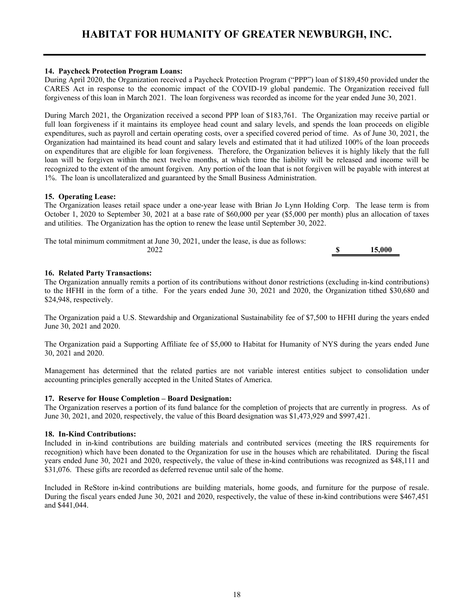## **14. Paycheck Protection Program Loans:**

During April 2020, the Organization received a Paycheck Protection Program ("PPP") loan of \$189,450 provided under the CARES Act in response to the economic impact of the COVID-19 global pandemic. The Organization received full forgiveness of this loan in March 2021. The loan forgiveness was recorded as income for the year ended June 30, 2021.

During March 2021, the Organization received a second PPP loan of \$183,761. The Organization may receive partial or full loan forgiveness if it maintains its employee head count and salary levels, and spends the loan proceeds on eligible expenditures, such as payroll and certain operating costs, over a specified covered period of time. As of June 30, 2021, the Organization had maintained its head count and salary levels and estimated that it had utilized 100% of the loan proceeds on expenditures that are eligible for loan forgiveness. Therefore, the Organization believes it is highly likely that the full loan will be forgiven within the next twelve months, at which time the liability will be released and income will be recognized to the extent of the amount forgiven. Any portion of the loan that is not forgiven will be payable with interest at 1%. The loan is uncollateralized and guaranteed by the Small Business Administration.

## **15. Operating Lease:**

The Organization leases retail space under a one-year lease with Brian Jo Lynn Holding Corp. The lease term is from October 1, 2020 to September 30, 2021 at a base rate of \$60,000 per year (\$5,000 per month) plus an allocation of taxes and utilities. The Organization has the option to renew the lease until September 30, 2022.

The total minimum commitment at June 30, 2021, under the lease, is due as follows: 2022 **\$ 15,000** 

**16. Related Party Transactions:**

The Organization annually remits a portion of its contributions without donor restrictions (excluding in-kind contributions) to the HFHI in the form of a tithe. For the years ended June 30, 2021 and 2020, the Organization tithed \$30,680 and \$24,948, respectively.

The Organization paid a U.S. Stewardship and Organizational Sustainability fee of \$7,500 to HFHI during the years ended June 30, 2021 and 2020.

The Organization paid a Supporting Affiliate fee of \$5,000 to Habitat for Humanity of NYS during the years ended June 30, 2021 and 2020.

Management has determined that the related parties are not variable interest entities subject to consolidation under accounting principles generally accepted in the United States of America.

#### **17. Reserve for House Completion – Board Designation:**

The Organization reserves a portion of its fund balance for the completion of projects that are currently in progress. As of June 30, 2021, and 2020, respectively, the value of this Board designation was \$1,473,929 and \$997,421.

## **18. In-Kind Contributions:**

Included in in-kind contributions are building materials and contributed services (meeting the IRS requirements for recognition) which have been donated to the Organization for use in the houses which are rehabilitated. During the fiscal years ended June 30, 2021 and 2020, respectively, the value of these in-kind contributions was recognized as \$48,111 and \$31,076. These gifts are recorded as deferred revenue until sale of the home.

Included in ReStore in-kind contributions are building materials, home goods, and furniture for the purpose of resale. During the fiscal years ended June 30, 2021 and 2020, respectively, the value of these in-kind contributions were \$467,451 and \$441,044.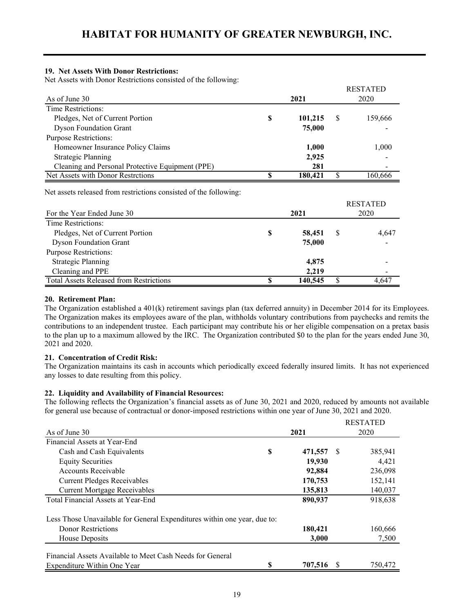## **19. Net Assets With Donor Restrictions:**

Net Assets with Donor Restrictions consisted of the following:

|                                                  |   |         |   | <b>RESTATED</b> |
|--------------------------------------------------|---|---------|---|-----------------|
| As of June 30                                    |   | 2021    |   | 2020            |
| Time Restrictions:                               |   |         |   |                 |
| Pledges, Net of Current Portion                  | S | 101,215 | S | 159,666         |
| <b>Dyson Foundation Grant</b>                    |   | 75,000  |   |                 |
| <b>Purpose Restrictions:</b>                     |   |         |   |                 |
| Homeowner Insurance Policy Claims                |   | 1,000   |   | 1,000           |
| <b>Strategic Planning</b>                        |   | 2,925   |   |                 |
| Cleaning and Personal Protective Equipment (PPE) |   | 281     |   |                 |
| Net Assets with Donor Restrctions                |   | 180.421 |   | 160.666         |

Net assets released from restrictions consisted of the following:

| For the Year Ended June 30                     |   | <b>RESTATED</b><br>2020 |   |       |
|------------------------------------------------|---|-------------------------|---|-------|
| Time Restrictions:                             |   |                         |   |       |
| Pledges, Net of Current Portion                | S | 58,451                  | S | 4,647 |
| <b>Dyson Foundation Grant</b>                  |   | 75,000                  |   |       |
| <b>Purpose Restrictions:</b>                   |   |                         |   |       |
| <b>Strategic Planning</b>                      |   | 4,875                   |   |       |
| Cleaning and PPE                               |   | 2.219                   |   |       |
| <b>Total Assets Released from Restrictions</b> |   | 140,545                 |   | 4 647 |

## **20. Retirement Plan:**

The Organization established a 401(k) retirement savings plan (tax deferred annuity) in December 2014 for its Employees. The Organization makes its employees aware of the plan, withholds voluntary contributions from paychecks and remits the contributions to an independent trustee. Each participant may contribute his or her eligible compensation on a pretax basis to the plan up to a maximum allowed by the IRC. The Organization contributed \$0 to the plan for the years ended June 30, 2021 and 2020.

## **21. Concentration of Credit Risk:**

The Organization maintains its cash in accounts which periodically exceed federally insured limits. It has not experienced any losses to date resulting from this policy.

## **22. Liquidity and Availability of Financial Resources:**

The following reflects the Organization's financial assets as of June 30, 2021 and 2020, reduced by amounts not available for general use because of contractual or donor-imposed restrictions within one year of June 30, 2021 and 2020.

|                                                                          |   |         |    | <b>RESTATED</b> |  |
|--------------------------------------------------------------------------|---|---------|----|-----------------|--|
| As of June 30                                                            |   | 2021    |    | 2020            |  |
| Financial Assets at Year-End                                             |   |         |    |                 |  |
| Cash and Cash Equivalents                                                | S | 471,557 | -S | 385,941         |  |
| <b>Equity Securities</b>                                                 |   | 19.930  |    | 4,421           |  |
| <b>Accounts Receivable</b>                                               |   | 92,884  |    | 236,098         |  |
| <b>Current Pledges Receivables</b>                                       |   | 170,753 |    | 152,141         |  |
| <b>Current Mortgage Receivables</b>                                      |   | 135,813 |    | 140,037         |  |
| Total Financial Assets at Year-End                                       |   | 890,937 |    | 918,638         |  |
| Less Those Unavailable for General Expenditures within one year, due to: |   |         |    |                 |  |
| <b>Donor Restrictions</b>                                                |   | 180,421 |    | 160,666         |  |
| House Deposits                                                           |   | 3,000   |    | 7,500           |  |
| Financial Assets Available to Meet Cash Needs for General                |   |         |    |                 |  |
| Expenditure Within One Year                                              | S | 707,516 |    | 750,472         |  |